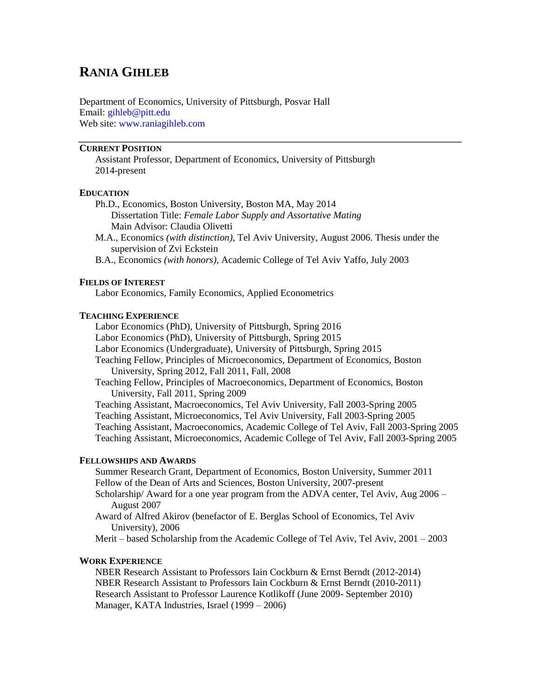# **RANIA GIHLEB**

Department of Economics, University of Pittsburgh, Posvar Hall Email: [gihleb@pitt.edu](mailto:rgikhleb@bu.edu) Web site: [www.raniagihleb.com](http://www.raniagihleb.com/)

# **CURRENT POSITION**

Assistant Professor, Department of Economics, University of Pittsburgh 2014-present

## **EDUCATION**

- Ph.D., Economics, Boston University, Boston MA, May 2014 Dissertation Title: *Female Labor Supply and Assortative Mating* Main Advisor: Claudia Olivetti
- M.A., Economics *(with distinction),* Tel Aviv University, August 2006. Thesis under the supervision of Zvi Eckstein
- B.A., Economics *(with honors),* Academic College of Tel Aviv Yaffo, July 2003

#### **FIELDS OF INTEREST**

Labor Economics, Family Economics, Applied Econometrics

#### **TEACHING EXPERIENCE**

Labor Economics (PhD), University of Pittsburgh, Spring 2016 Labor Economics (PhD), University of Pittsburgh, Spring 2015 Labor Economics (Undergraduate), University of Pittsburgh, Spring 2015 Teaching Fellow, Principles of Microeconomics, Department of Economics, Boston University, Spring 2012, Fall 2011, Fall, 2008 Teaching Fellow, Principles of Macroeconomics, Department of Economics, Boston University, Fall 2011, Spring 2009 Teaching Assistant, Macroeconomics, Tel Aviv University, Fall 2003-Spring 2005 Teaching Assistant, Microeconomics, Tel Aviv University, Fall 2003-Spring 2005 Teaching Assistant, Macroeconomics, Academic College of Tel Aviv, Fall 2003-Spring 2005 Teaching Assistant, Microeconomics, Academic College of Tel Aviv, Fall 2003-Spring 2005

#### **FELLOWSHIPS AND AWARDS**

Summer Research Grant, Department of Economics, Boston University, Summer 2011 Fellow of the Dean of Arts and Sciences, Boston University, 2007-present

Scholarship/ Award for a one year program from the ADVA center, Tel Aviv, Aug 2006 – August 2007

Award of Alfred Akirov (benefactor of E. Berglas School of Economics, Tel Aviv University), 2006

Merit – based Scholarship from the Academic College of Tel Aviv, Tel Aviv, 2001 – 2003

#### **WORK EXPERIENCE**

NBER Research Assistant to Professors Iain Cockburn & Ernst Berndt (2012-2014) NBER Research Assistant to Professors Iain Cockburn & Ernst Berndt (2010-2011) Research Assistant to Professor Laurence Kotlikoff (June 2009- September 2010) Manager, KATA Industries, Israel (1999 – 2006)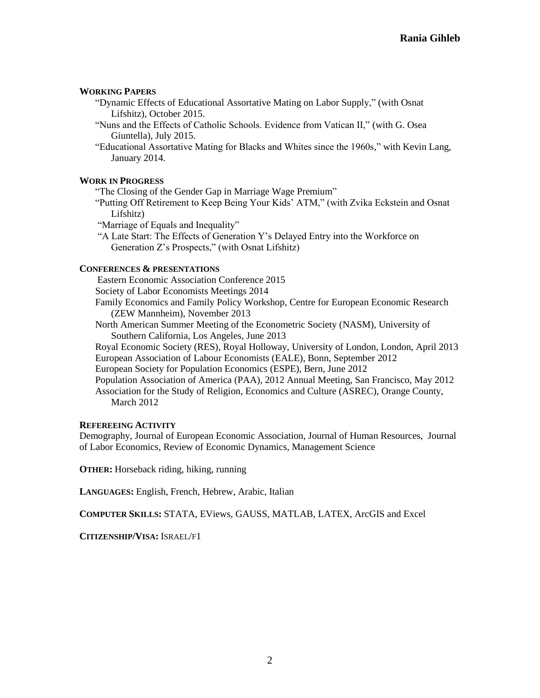## **WORKING PAPERS**

- "Dynamic Effects of Educational Assortative Mating on Labor Supply," (with Osnat Lifshitz), October 2015.
- "Nuns and the Effects of Catholic Schools. Evidence from Vatican II," (with G. Osea Giuntella), July 2015.
- "Educational Assortative Mating for Blacks and Whites since the 1960s," with Kevin Lang, January 2014.

## **WORK IN PROGRESS**

"The Closing of the Gender Gap in Marriage Wage Premium"

"Putting Off Retirement to Keep Being Your Kids' ATM," (with Zvika Eckstein and Osnat Lifshitz)

"Marriage of Equals and Inequality"

"A Late Start: The Effects of Generation Y's Delayed Entry into the Workforce on Generation Z's Prospects," (with Osnat Lifshitz)

# **CONFERENCES & PRESENTATIONS**

Eastern Economic Association Conference 2015

Society of Labor Economists Meetings 2014

Family Economics and Family Policy Workshop, Centre for European Economic Research (ZEW Mannheim), November 2013

North American Summer Meeting of the Econometric Society (NASM), University of Southern California, Los Angeles, June 2013

Royal Economic Society (RES), Royal Holloway, University of London, London, April 2013 European Association of Labour Economists (EALE), Bonn, September 2012

European Society for Population Economics (ESPE), Bern, June 2012

Population Association of America (PAA), 2012 Annual Meeting, San Francisco, May 2012 Association for the Study of Religion, Economics and Culture (ASREC), Orange County, March 2012

### **REFEREEING ACTIVITY**

Demography, Journal of European Economic Association, Journal of Human Resources, Journal of Labor Economics, Review of Economic Dynamics, Management Science

**OTHER:** Horseback riding, hiking, running

**LANGUAGES:** English, French, Hebrew, Arabic, Italian

**COMPUTER SKILLS:** STATA, EViews, GAUSS, MATLAB, LATEX, ArcGIS and Excel

**CITIZENSHIP/VISA:** ISRAEL/F1